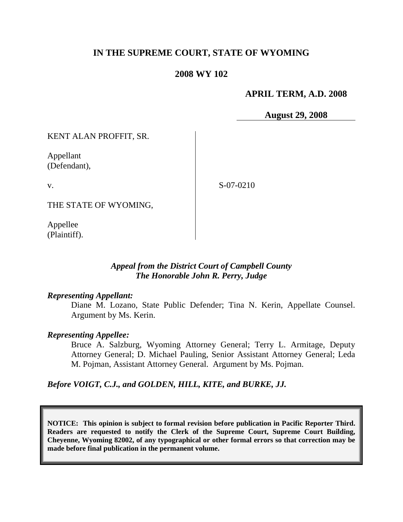# **IN THE SUPREME COURT, STATE OF WYOMING**

### **2008 WY 102**

## **APRIL TERM, A.D. 2008**

**August 29, 2008**

KENT ALAN PROFFIT, SR.

Appellant (Defendant),

v.

S-07-0210

THE STATE OF WYOMING,

Appellee (Plaintiff).

### *Appeal from the District Court of Campbell County The Honorable John R. Perry, Judge*

#### *Representing Appellant:*

Diane M. Lozano, State Public Defender; Tina N. Kerin, Appellate Counsel. Argument by Ms. Kerin.

### *Representing Appellee:*

Bruce A. Salzburg, Wyoming Attorney General; Terry L. Armitage, Deputy Attorney General; D. Michael Pauling, Senior Assistant Attorney General; Leda M. Pojman, Assistant Attorney General. Argument by Ms. Pojman.

*Before VOIGT, C.J., and GOLDEN, HILL, KITE, and BURKE, JJ.*

**NOTICE: This opinion is subject to formal revision before publication in Pacific Reporter Third. Readers are requested to notify the Clerk of the Supreme Court, Supreme Court Building, Cheyenne, Wyoming 82002, of any typographical or other formal errors so that correction may be made before final publication in the permanent volume.**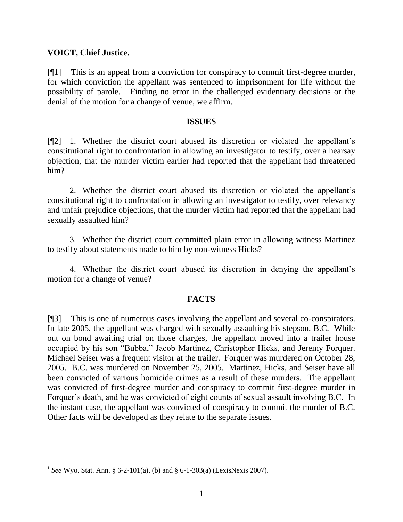## **VOIGT, Chief Justice.**

[¶1] This is an appeal from a conviction for conspiracy to commit first-degree murder, for which conviction the appellant was sentenced to imprisonment for life without the possibility of parole.<sup>1</sup> Finding no error in the challenged evidentiary decisions or the denial of the motion for a change of venue, we affirm.

### **ISSUES**

[¶2] 1. Whether the district court abused its discretion or violated the appellant's constitutional right to confrontation in allowing an investigator to testify, over a hearsay objection, that the murder victim earlier had reported that the appellant had threatened him?

2. Whether the district court abused its discretion or violated the appellant's constitutional right to confrontation in allowing an investigator to testify, over relevancy and unfair prejudice objections, that the murder victim had reported that the appellant had sexually assaulted him?

3. Whether the district court committed plain error in allowing witness Martinez to testify about statements made to him by non-witness Hicks?

4. Whether the district court abused its discretion in denying the appellant's motion for a change of venue?

### **FACTS**

[¶3] This is one of numerous cases involving the appellant and several co-conspirators. In late 2005, the appellant was charged with sexually assaulting his stepson, B.C. While out on bond awaiting trial on those charges, the appellant moved into a trailer house occupied by his son "Bubba," Jacob Martinez, Christopher Hicks, and Jeremy Forquer. Michael Seiser was a frequent visitor at the trailer. Forquer was murdered on October 28, 2005. B.C. was murdered on November 25, 2005. Martinez, Hicks, and Seiser have all been convicted of various homicide crimes as a result of these murders. The appellant was convicted of first-degree murder and conspiracy to commit first-degree murder in Forquer's death, and he was convicted of eight counts of sexual assault involving B.C. In the instant case, the appellant was convicted of conspiracy to commit the murder of B.C. Other facts will be developed as they relate to the separate issues.

<sup>&</sup>lt;sup>1</sup> See Wyo. Stat. Ann. § 6-2-101(a), (b) and § 6-1-303(a) (LexisNexis 2007).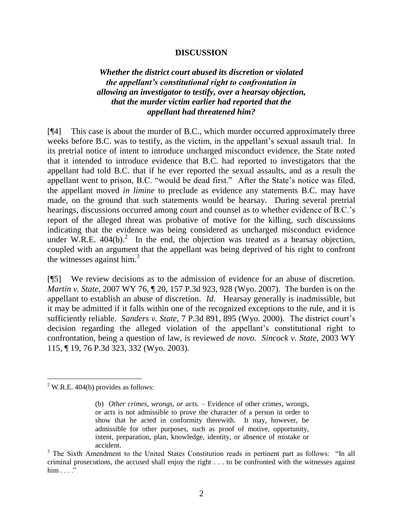#### **DISCUSSION**

## *Whether the district court abused its discretion or violated the appellant's constitutional right to confrontation in allowing an investigator to testify, over a hearsay objection, that the murder victim earlier had reported that the appellant had threatened him?*

[¶4] This case is about the murder of B.C., which murder occurred approximately three weeks before B.C. was to testify, as the victim, in the appellant's sexual assault trial. In its pretrial notice of intent to introduce uncharged misconduct evidence, the State noted that it intended to introduce evidence that B.C. had reported to investigators that the appellant had told B.C. that if he ever reported the sexual assaults, and as a result the appellant went to prison, B.C. "would be dead first." After the State's notice was filed, the appellant moved *in limine* to preclude as evidence any statements B.C. may have made, on the ground that such statements would be hearsay. During several pretrial hearings, discussions occurred among court and counsel as to whether evidence of B.C.'s report of the alleged threat was probative of motive for the killing, such discussions indicating that the evidence was being considered as uncharged misconduct evidence under W.R.E.  $404(b)$ .<sup>2</sup> In the end, the objection was treated as a hearsay objection, coupled with an argument that the appellant was being deprived of his right to confront the witnesses against him.<sup>3</sup>

[¶5] We review decisions as to the admission of evidence for an abuse of discretion. *Martin v. State*, 2007 WY 76, 120, 157 P.3d 923, 928 (Wyo. 2007). The burden is on the appellant to establish an abuse of discretion. *Id*. Hearsay generally is inadmissible, but it may be admitted if it falls within one of the recognized exceptions to the rule, and it is sufficiently reliable. *Sanders v. State*, 7 P.3d 891, 895 (Wyo. 2000). The district court's decision regarding the alleged violation of the appellant's constitutional right to confrontation, being a question of law, is reviewed *de novo*. *Sincock v. State*, 2003 WY 115, ¶ 19, 76 P.3d 323, 332 (Wyo. 2003).

 $2$  W.R.E. 404(b) provides as follows:

<sup>(</sup>b) *Other crimes, wrongs, or acts.* – Evidence of other crimes, wrongs, or acts is not admissible to prove the character of a person in order to show that he acted in conformity therewith. It may, however, be admissible for other purposes, such as proof of motive, opportunity, intent, preparation, plan, knowledge, identity, or absence of mistake or accident.

 $3$  The Sixth Amendment to the United States Constitution reads in pertinent part as follows: "In all criminal prosecutions, the accused shall enjoy the right . . . to be confronted with the witnesses against  $him \dots$ ."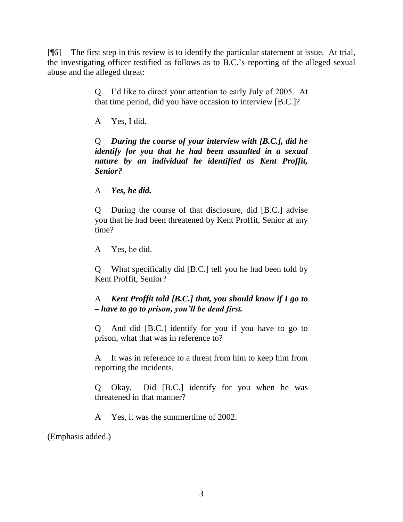[¶6] The first step in this review is to identify the particular statement at issue. At trial, the investigating officer testified as follows as to B.C.'s reporting of the alleged sexual abuse and the alleged threat:

> Q I'd like to direct your attention to early July of 2005. At that time period, did you have occasion to interview [B.C.]?

A Yes, I did.

Q *During the course of your interview with [B.C.], did he identify for you that he had been assaulted in a sexual nature by an individual he identified as Kent Proffit, Senior?*

A *Yes, he did.*

Q During the course of that disclosure, did [B.C.] advise you that he had been threatened by Kent Proffit, Senior at any time?

A Yes, he did.

Q What specifically did [B.C.] tell you he had been told by Kent Proffit, Senior?

# A *Kent Proffit told [B.C.] that, you should know if I go to – have to go to prison, you'll be dead first.*

Q And did [B.C.] identify for you if you have to go to prison, what that was in reference to?

A It was in reference to a threat from him to keep him from reporting the incidents.

Q Okay. Did [B.C.] identify for you when he was threatened in that manner?

A Yes, it was the summertime of 2002.

(Emphasis added.)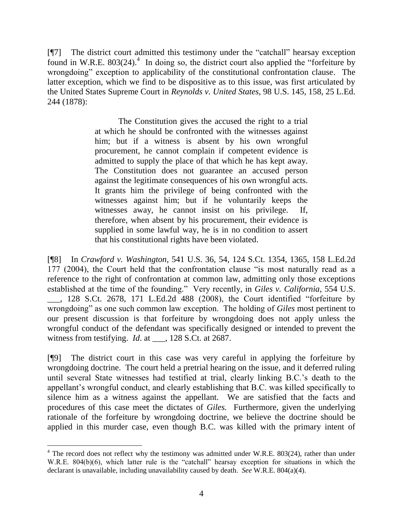[¶7] The district court admitted this testimony under the "catchall" hearsay exception found in W.R.E.  $803(24)$ .<sup>4</sup> In doing so, the district court also applied the "forfeiture by wrongdoing" exception to applicability of the constitutional confrontation clause. The latter exception, which we find to be dispositive as to this issue, was first articulated by the United States Supreme Court in *Reynolds v. United States*, 98 U.S. 145, 158, 25 L.Ed. 244 (1878):

> The Constitution gives the accused the right to a trial at which he should be confronted with the witnesses against him; but if a witness is absent by his own wrongful procurement, he cannot complain if competent evidence is admitted to supply the place of that which he has kept away. The Constitution does not guarantee an accused person against the legitimate consequences of his own wrongful acts. It grants him the privilege of being confronted with the witnesses against him; but if he voluntarily keeps the witnesses away, he cannot insist on his privilege. If, therefore, when absent by his procurement, their evidence is supplied in some lawful way, he is in no condition to assert that his constitutional rights have been violated.

[¶8] In *Crawford v. Washington*, 541 U.S. 36, 54, 124 S.Ct. 1354, 1365, 158 L.Ed.2d 177 (2004), the Court held that the confrontation clause "is most naturally read as a reference to the right of confrontation at common law, admitting only those exceptions established at the time of the founding." Very recently, in *Giles v. California*, 554 U.S.  $\_\_$ , 128 S.Ct. 2678, 171 L.Ed.2d 488 (2008), the Court identified "forfeiture by wrongdoing" as one such common law exception. The holding of *Giles* most pertinent to our present discussion is that forfeiture by wrongdoing does not apply unless the wrongful conduct of the defendant was specifically designed or intended to prevent the witness from testifying. *Id*. at \_\_\_, 128 S.Ct. at 2687.

[¶9] The district court in this case was very careful in applying the forfeiture by wrongdoing doctrine. The court held a pretrial hearing on the issue, and it deferred ruling until several State witnesses had testified at trial, clearly linking B.C.'s death to the appellant's wrongful conduct, and clearly establishing that B.C. was killed specifically to silence him as a witness against the appellant. We are satisfied that the facts and procedures of this case meet the dictates of *Giles.* Furthermore, given the underlying rationale of the forfeiture by wrongdoing doctrine, we believe the doctrine should be applied in this murder case, even though B.C. was killed with the primary intent of

 $4$  The record does not reflect why the testimony was admitted under W.R.E. 803(24), rather than under W.R.E.  $804(b)(6)$ , which latter rule is the "catchall" hearsay exception for situations in which the declarant is unavailable, including unavailability caused by death. *See* W.R.E. 804(a)(4).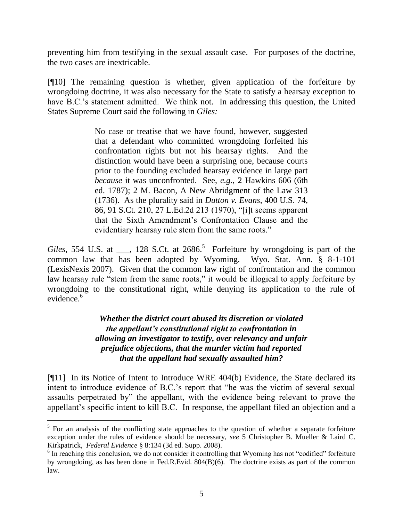preventing him from testifying in the sexual assault case. For purposes of the doctrine, the two cases are inextricable.

[¶10] The remaining question is whether, given application of the forfeiture by wrongdoing doctrine, it was also necessary for the State to satisfy a hearsay exception to have B.C.'s statement admitted. We think not. In addressing this question, the United States Supreme Court said the following in *Giles:*

> No case or treatise that we have found, however, suggested that a defendant who committed wrongdoing forfeited his confrontation rights but not his hearsay rights. And the distinction would have been a surprising one, because courts prior to the founding excluded hearsay evidence in large part *because* it was unconfronted. See, *e.g.*, 2 Hawkins 606 (6th ed. 1787); 2 M. Bacon, A New Abridgment of the Law 313 (1736). As the plurality said in *Dutton v. Evans*, 400 U.S. 74, 86, 91 S.Ct. 210, 27 L.Ed.2d 213 (1970), "[i]t seems apparent that the Sixth Amendment's Confrontation Clause and the evidentiary hearsay rule stem from the same roots."

Giles, 554 U.S. at  $\_\_$ , 128 S.Ct. at 2686.<sup>5</sup> Forfeiture by wrongdoing is part of the common law that has been adopted by Wyoming. Wyo. Stat. Ann. § 8-1-101 (LexisNexis 2007). Given that the common law right of confrontation and the common law hearsay rule "stem from the same roots," it would be illogical to apply forfeiture by wrongdoing to the constitutional right, while denying its application to the rule of evidence.<sup>6</sup>

> *Whether the district court abused its discretion or violated the appellant's constitutional right to confrontation in allowing an investigator to testify, over relevancy and unfair prejudice objections, that the murder victim had reported that the appellant had sexually assaulted him?*

[¶11] In its Notice of Intent to Introduce WRE 404(b) Evidence, the State declared its intent to introduce evidence of B.C.'s report that "he was the victim of several sexual assaults perpetrated by" the appellant, with the evidence being relevant to prove the appellant's specific intent to kill B.C. In response, the appellant filed an objection and a

<sup>&</sup>lt;sup>5</sup> For an analysis of the conflicting state approaches to the question of whether a separate forfeiture exception under the rules of evidence should be necessary, *see* 5 Christopher B. Mueller & Laird C. Kirkpatrick, *Federal Evidence* § 8:134 (3d ed. Supp. 2008).

 $6$  In reaching this conclusion, we do not consider it controlling that Wyoming has not "codified" forfeiture by wrongdoing, as has been done in Fed.R.Evid. 804(B)(6). The doctrine exists as part of the common law.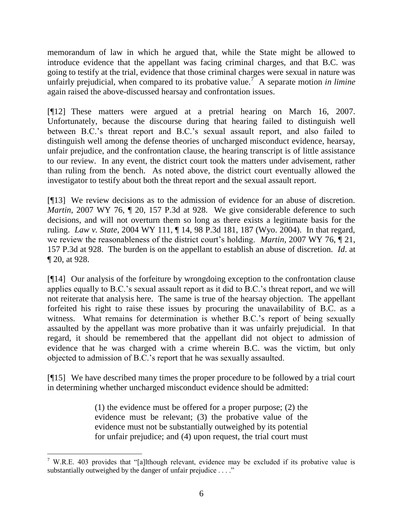memorandum of law in which he argued that, while the State might be allowed to introduce evidence that the appellant was facing criminal charges, and that B.C. was going to testify at the trial, evidence that those criminal charges were sexual in nature was unfairly prejudicial, when compared to its probative value.<sup>7</sup> A separate motion *in limine* again raised the above-discussed hearsay and confrontation issues.

[¶12] These matters were argued at a pretrial hearing on March 16, 2007. Unfortunately, because the discourse during that hearing failed to distinguish well between B.C.'s threat report and B.C.'s sexual assault report, and also failed to distinguish well among the defense theories of uncharged misconduct evidence, hearsay, unfair prejudice, and the confrontation clause, the hearing transcript is of little assistance to our review. In any event, the district court took the matters under advisement, rather than ruling from the bench. As noted above, the district court eventually allowed the investigator to testify about both the threat report and the sexual assault report.

[¶13] We review decisions as to the admission of evidence for an abuse of discretion. *Martin*, 2007 WY 76,  $\P$  20, 157 P.3d at 928. We give considerable deference to such decisions, and will not overturn them so long as there exists a legitimate basis for the ruling. *Law v. State*, 2004 WY 111, ¶ 14, 98 P.3d 181, 187 (Wyo. 2004). In that regard, we review the reasonableness of the district court's holding. *Martin*, 2007 WY 76, ¶ 21, 157 P.3d at 928. The burden is on the appellant to establish an abuse of discretion. *Id*. at ¶ 20, at 928.

[¶14] Our analysis of the forfeiture by wrongdoing exception to the confrontation clause applies equally to B.C.'s sexual assault report as it did to B.C.'s threat report, and we will not reiterate that analysis here. The same is true of the hearsay objection. The appellant forfeited his right to raise these issues by procuring the unavailability of B.C. as a witness. What remains for determination is whether B.C.'s report of being sexually assaulted by the appellant was more probative than it was unfairly prejudicial. In that regard, it should be remembered that the appellant did not object to admission of evidence that he was charged with a crime wherein B.C. was the victim, but only objected to admission of B.C.'s report that he was sexually assaulted.

[¶15] We have described many times the proper procedure to be followed by a trial court in determining whether uncharged misconduct evidence should be admitted:

> (1) the evidence must be offered for a proper purpose; (2) the evidence must be relevant; (3) the probative value of the evidence must not be substantially outweighed by its potential for unfair prejudice; and (4) upon request, the trial court must

<sup>&</sup>lt;sup>7</sup> W.R.E. 403 provides that "[a]lthough relevant, evidence may be excluded if its probative value is substantially outweighed by the danger of unfair prejudice . . . ."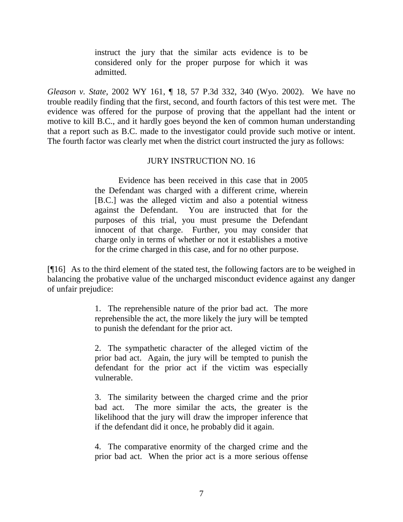instruct the jury that the similar acts evidence is to be considered only for the proper purpose for which it was admitted.

*Gleason v. State*, 2002 WY 161, ¶ 18, 57 P.3d 332, 340 (Wyo. 2002). We have no trouble readily finding that the first, second, and fourth factors of this test were met. The evidence was offered for the purpose of proving that the appellant had the intent or motive to kill B.C., and it hardly goes beyond the ken of common human understanding that a report such as B.C. made to the investigator could provide such motive or intent. The fourth factor was clearly met when the district court instructed the jury as follows:

#### JURY INSTRUCTION NO. 16

Evidence has been received in this case that in 2005 the Defendant was charged with a different crime, wherein [B.C.] was the alleged victim and also a potential witness against the Defendant. You are instructed that for the purposes of this trial, you must presume the Defendant innocent of that charge. Further, you may consider that charge only in terms of whether or not it establishes a motive for the crime charged in this case, and for no other purpose.

[¶16] As to the third element of the stated test, the following factors are to be weighed in balancing the probative value of the uncharged misconduct evidence against any danger of unfair prejudice:

> 1. The reprehensible nature of the prior bad act. The more reprehensible the act, the more likely the jury will be tempted to punish the defendant for the prior act.

> 2. The sympathetic character of the alleged victim of the prior bad act. Again, the jury will be tempted to punish the defendant for the prior act if the victim was especially vulnerable.

> 3. The similarity between the charged crime and the prior bad act. The more similar the acts, the greater is the likelihood that the jury will draw the improper inference that if the defendant did it once, he probably did it again.

> 4. The comparative enormity of the charged crime and the prior bad act. When the prior act is a more serious offense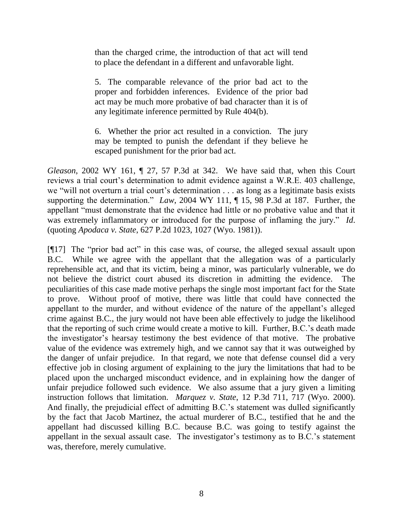than the charged crime, the introduction of that act will tend to place the defendant in a different and unfavorable light.

5. The comparable relevance of the prior bad act to the proper and forbidden inferences. Evidence of the prior bad act may be much more probative of bad character than it is of any legitimate inference permitted by Rule 404(b).

6. Whether the prior act resulted in a conviction. The jury may be tempted to punish the defendant if they believe he escaped punishment for the prior bad act.

*Gleason*, 2002 WY 161, ¶ 27, 57 P.3d at 342. We have said that, when this Court reviews a trial court's determination to admit evidence against a W.R.E. 403 challenge, we "will not overturn a trial court's determination  $\ldots$  as long as a legitimate basis exists supporting the determination." *Law*, 2004 WY 111, ¶ 15, 98 P.3d at 187. Further, the appellant "must demonstrate that the evidence had little or no probative value and that it was extremely inflammatory or introduced for the purpose of inflaming the jury." *Id*. (quoting *Apodaca v. State*, 627 P.2d 1023, 1027 (Wyo. 1981)).

 $[917]$  The "prior bad act" in this case was, of course, the alleged sexual assault upon B.C. While we agree with the appellant that the allegation was of a particularly reprehensible act, and that its victim, being a minor, was particularly vulnerable, we do not believe the district court abused its discretion in admitting the evidence. The peculiarities of this case made motive perhaps the single most important fact for the State to prove. Without proof of motive, there was little that could have connected the appellant to the murder, and without evidence of the nature of the appellant's alleged crime against B.C., the jury would not have been able effectively to judge the likelihood that the reporting of such crime would create a motive to kill. Further, B.C.'s death made the investigator's hearsay testimony the best evidence of that motive. The probative value of the evidence was extremely high, and we cannot say that it was outweighed by the danger of unfair prejudice. In that regard, we note that defense counsel did a very effective job in closing argument of explaining to the jury the limitations that had to be placed upon the uncharged misconduct evidence, and in explaining how the danger of unfair prejudice followed such evidence. We also assume that a jury given a limiting instruction follows that limitation. *Marquez v. State*, 12 P.3d 711, 717 (Wyo. 2000). And finally, the prejudicial effect of admitting B.C.'s statement was dulled significantly by the fact that Jacob Martinez, the actual murderer of B.C., testified that he and the appellant had discussed killing B.C. because B.C. was going to testify against the appellant in the sexual assault case. The investigator's testimony as to B.C.'s statement was, therefore, merely cumulative.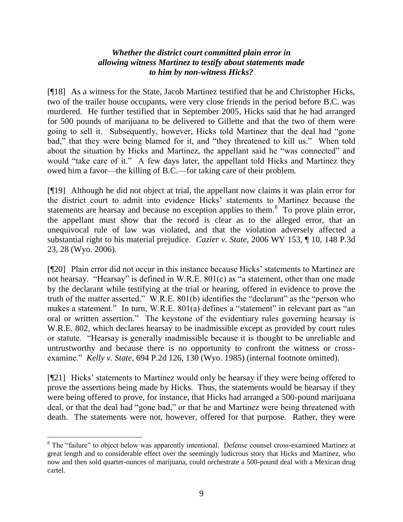# *Whether the district court committed plain error in allowing witness Martinez to testify about statements made to him by non-witness Hicks?*

[¶18] As a witness for the State, Jacob Martinez testified that he and Christopher Hicks, two of the trailer house occupants, were very close friends in the period before B.C. was murdered. He further testified that in September 2005, Hicks said that he had arranged for 500 pounds of marijuana to be delivered to Gillette and that the two of them were going to sell it. Subsequently, however, Hicks told Martinez that the deal had "gone" bad," that they were being blamed for it, and "they threatened to kill us." When told about the situation by Hicks and Martinez, the appellant said he "was connected" and would "take care of it." A few days later, the appellant told Hicks and Martinez they owed him a favor—the killing of B.C.—for taking care of their problem.

[¶19] Although he did not object at trial, the appellant now claims it was plain error for the district court to admit into evidence Hicks' statements to Martinez because the statements are hearsay and because no exception applies to them.<sup>8</sup> To prove plain error, the appellant must show that the record is clear as to the alleged error, that an unequivocal rule of law was violated, and that the violation adversely affected a substantial right to his material prejudice. *Cazier v. State*, 2006 WY 153, ¶ 10, 148 P.3d 23, 28 (Wyo. 2006).

[¶20] Plain error did not occur in this instance because Hicks' statements to Martinez are not hearsay. "Hearsay" is defined in W.R.E.  $801(c)$  as "a statement, other than one made by the declarant while testifying at the trial or hearing, offered in evidence to prove the truth of the matter asserted." W.R.E.  $801(b)$  identifies the "declarant" as the "person who makes a statement." In turn, W.R.E.  $801(a)$  defines a "statement" in relevant part as "an oral or written assertion." The keystone of the evidentiary rules governing hearsay is W.R.E. 802, which declares hearsay to be inadmissible except as provided by court rules or statute. "Hearsay is generally inadmissible because it is thought to be unreliable and untrustworthy and because there is no opportunity to confront the witness or crossexamine." *Kelly v. State*, 694 P.2d 126, 130 (Wyo. 1985) (internal footnote omitted).

[¶21] Hicks' statements to Martinez would only be hearsay if they were being offered to prove the assertions being made by Hicks. Thus, the statements would be hearsay if they were being offered to prove, for instance, that Hicks had arranged a 500-pound marijuana deal, or that the deal had "gone bad," or that he and Martinez were being threatened with death. The statements were not, however, offered for that purpose. Rather, they were

<sup>&</sup>lt;sup>8</sup> The "failure" to object below was apparently intentional. Defense counsel cross-examined Martinez at great length and to considerable effect over the seemingly ludicrous story that Hicks and Martinez, who now and then sold quarter-ounces of marijuana, could orchestrate a 500-pound deal with a Mexican drug cartel.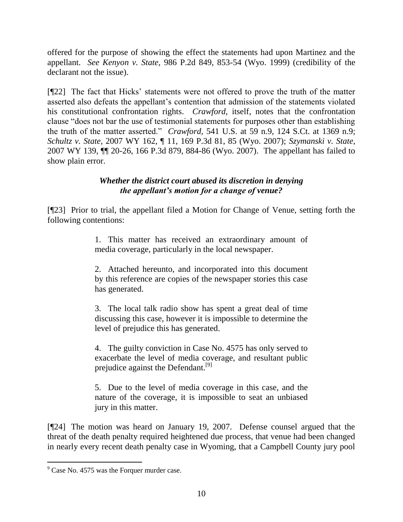offered for the purpose of showing the effect the statements had upon Martinez and the appellant. *See Kenyon v. State*, 986 P.2d 849, 853-54 (Wyo. 1999) (credibility of the declarant not the issue).

[¶22] The fact that Hicks' statements were not offered to prove the truth of the matter asserted also defeats the appellant's contention that admission of the statements violated his constitutional confrontation rights. *Crawford*, itself, notes that the confrontation clause "does not bar the use of testimonial statements for purposes other than establishing the truth of the matter asserted." *Crawford*, 541 U.S. at 59 n.9, 124 S.Ct. at 1369 n.9; *Schultz v. State*, 2007 WY 162, ¶ 11, 169 P.3d 81, 85 (Wyo. 2007); *Szymanski v. State*, 2007 WY 139, ¶¶ 20-26, 166 P.3d 879, 884-86 (Wyo. 2007). The appellant has failed to show plain error.

# *Whether the district court abused its discretion in denying the appellant's motion for a change of venue?*

[¶23] Prior to trial, the appellant filed a Motion for Change of Venue, setting forth the following contentions:

> 1. This matter has received an extraordinary amount of media coverage, particularly in the local newspaper.

> 2. Attached hereunto, and incorporated into this document by this reference are copies of the newspaper stories this case has generated.

> 3. The local talk radio show has spent a great deal of time discussing this case, however it is impossible to determine the level of prejudice this has generated.

> 4. The guilty conviction in Case No. 4575 has only served to exacerbate the level of media coverage, and resultant public prejudice against the Defendant.<sup>[9]</sup>

> 5. Due to the level of media coverage in this case, and the nature of the coverage, it is impossible to seat an unbiased jury in this matter.

[¶24] The motion was heard on January 19, 2007. Defense counsel argued that the threat of the death penalty required heightened due process, that venue had been changed in nearly every recent death penalty case in Wyoming, that a Campbell County jury pool

 $9^9$  Case No. 4575 was the Forquer murder case.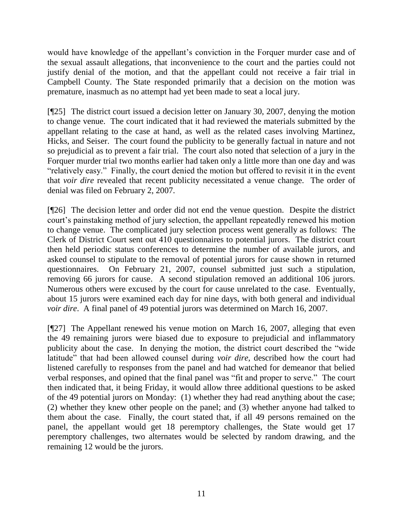would have knowledge of the appellant's conviction in the Forquer murder case and of the sexual assault allegations, that inconvenience to the court and the parties could not justify denial of the motion, and that the appellant could not receive a fair trial in Campbell County. The State responded primarily that a decision on the motion was premature, inasmuch as no attempt had yet been made to seat a local jury.

[¶25] The district court issued a decision letter on January 30, 2007, denying the motion to change venue. The court indicated that it had reviewed the materials submitted by the appellant relating to the case at hand, as well as the related cases involving Martinez, Hicks, and Seiser. The court found the publicity to be generally factual in nature and not so prejudicial as to prevent a fair trial. The court also noted that selection of a jury in the Forquer murder trial two months earlier had taken only a little more than one day and was "relatively easy." Finally, the court denied the motion but offered to revisit it in the event that *voir dire* revealed that recent publicity necessitated a venue change. The order of denial was filed on February 2, 2007.

[¶26] The decision letter and order did not end the venue question. Despite the district court's painstaking method of jury selection, the appellant repeatedly renewed his motion to change venue. The complicated jury selection process went generally as follows: The Clerk of District Court sent out 410 questionnaires to potential jurors. The district court then held periodic status conferences to determine the number of available jurors, and asked counsel to stipulate to the removal of potential jurors for cause shown in returned questionnaires. On February 21, 2007, counsel submitted just such a stipulation, removing 66 jurors for cause. A second stipulation removed an additional 106 jurors. Numerous others were excused by the court for cause unrelated to the case. Eventually, about 15 jurors were examined each day for nine days, with both general and individual *voir dire*. A final panel of 49 potential jurors was determined on March 16, 2007.

[¶27] The Appellant renewed his venue motion on March 16, 2007, alleging that even the 49 remaining jurors were biased due to exposure to prejudicial and inflammatory publicity about the case. In denying the motion, the district court described the "wide" latitude" that had been allowed counsel during *voir dire*, described how the court had listened carefully to responses from the panel and had watched for demeanor that belied verbal responses, and opined that the final panel was "fit and proper to serve." The court then indicated that, it being Friday, it would allow three additional questions to be asked of the 49 potential jurors on Monday: (1) whether they had read anything about the case; (2) whether they knew other people on the panel; and (3) whether anyone had talked to them about the case. Finally, the court stated that, if all 49 persons remained on the panel, the appellant would get 18 peremptory challenges, the State would get 17 peremptory challenges, two alternates would be selected by random drawing, and the remaining 12 would be the jurors.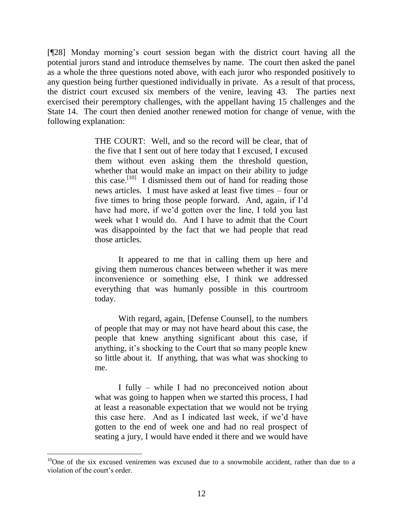[¶28] Monday morning's court session began with the district court having all the potential jurors stand and introduce themselves by name. The court then asked the panel as a whole the three questions noted above, with each juror who responded positively to any question being further questioned individually in private. As a result of that process, the district court excused six members of the venire, leaving 43. The parties next exercised their peremptory challenges, with the appellant having 15 challenges and the State 14. The court then denied another renewed motion for change of venue, with the following explanation:

> THE COURT: Well, and so the record will be clear, that of the five that I sent out of here today that I excused, I excused them without even asking them the threshold question, whether that would make an impact on their ability to judge this case.<sup>[10]</sup> I dismissed them out of hand for reading those news articles. I must have asked at least five times – four or five times to bring those people forward. And, again, if I'd have had more, if we'd gotten over the line, I told you last week what I would do. And I have to admit that the Court was disappointed by the fact that we had people that read those articles.

> It appeared to me that in calling them up here and giving them numerous chances between whether it was mere inconvenience or something else, I think we addressed everything that was humanly possible in this courtroom today.

> With regard, again, [Defense Counsel], to the numbers of people that may or may not have heard about this case, the people that knew anything significant about this case, if anything, it's shocking to the Court that so many people knew so little about it. If anything, that was what was shocking to me.

> I fully – while I had no preconceived notion about what was going to happen when we started this process, I had at least a reasonable expectation that we would not be trying this case here. And as I indicated last week, if we'd have gotten to the end of week one and had no real prospect of seating a jury, I would have ended it there and we would have

 $10$ One of the six excused veniremen was excused due to a snowmobile accident, rather than due to a violation of the court's order.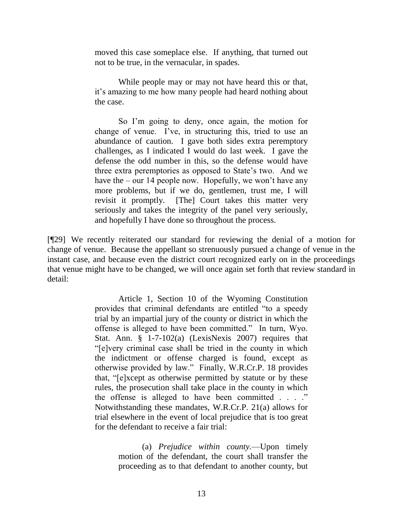moved this case someplace else. If anything, that turned out not to be true, in the vernacular, in spades.

While people may or may not have heard this or that, it's amazing to me how many people had heard nothing about the case.

So I'm going to deny, once again, the motion for change of venue. I've, in structuring this, tried to use an abundance of caution. I gave both sides extra peremptory challenges, as I indicated I would do last week. I gave the defense the odd number in this, so the defense would have three extra peremptories as opposed to State's two. And we have the – our 14 people now. Hopefully, we won't have any more problems, but if we do, gentlemen, trust me, I will revisit it promptly. [The] Court takes this matter very seriously and takes the integrity of the panel very seriously, and hopefully I have done so throughout the process.

[¶29] We recently reiterated our standard for reviewing the denial of a motion for change of venue. Because the appellant so strenuously pursued a change of venue in the instant case, and because even the district court recognized early on in the proceedings that venue might have to be changed, we will once again set forth that review standard in detail:

> Article 1, Section 10 of the Wyoming Constitution provides that criminal defendants are entitled "to a speedy" trial by an impartial jury of the county or district in which the offense is alleged to have been committed." In turn, Wyo. Stat. Ann. § 1-7-102(a) (LexisNexis 2007) requires that ―[e]very criminal case shall be tried in the county in which the indictment or offense charged is found, except as otherwise provided by law.‖ Finally, W.R.Cr.P. 18 provides that, "[e]xcept as otherwise permitted by statute or by these rules, the prosecution shall take place in the county in which the offense is alleged to have been committed  $\ldots$ . Notwithstanding these mandates, W.R.Cr.P. 21(a) allows for trial elsewhere in the event of local prejudice that is too great for the defendant to receive a fair trial:

> > (a) *Prejudice within county.*—Upon timely motion of the defendant, the court shall transfer the proceeding as to that defendant to another county, but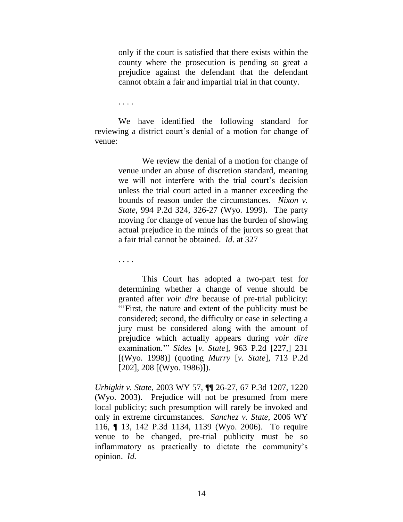only if the court is satisfied that there exists within the county where the prosecution is pending so great a prejudice against the defendant that the defendant cannot obtain a fair and impartial trial in that county.

. . . .

We have identified the following standard for reviewing a district court's denial of a motion for change of venue:

> We review the denial of a motion for change of venue under an abuse of discretion standard, meaning we will not interfere with the trial court's decision unless the trial court acted in a manner exceeding the bounds of reason under the circumstances. *Nixon v. State*, 994 P.2d 324, 326-27 (Wyo. 1999). The party moving for change of venue has the burden of showing actual prejudice in the minds of the jurors so great that a fair trial cannot be obtained. *Id*. at 327

. . . .

This Court has adopted a two-part test for determining whether a change of venue should be granted after *voir dire* because of pre-trial publicity: ―‗First, the nature and extent of the publicity must be considered; second, the difficulty or ease in selecting a jury must be considered along with the amount of prejudice which actually appears during *voir dire*  examination.'‖ *Sides* [*v. State*], 963 P.2d [227,] 231 [(Wyo. 1998)] (quoting *Murry* [*v. State*], 713 P.2d [202], 208 [(Wyo. 1986)]).

*Urbigkit v. State*, 2003 WY 57, ¶¶ 26-27, 67 P.3d 1207, 1220 (Wyo. 2003). Prejudice will not be presumed from mere local publicity; such presumption will rarely be invoked and only in extreme circumstances. *Sanchez v. State*, 2006 WY 116, ¶ 13, 142 P.3d 1134, 1139 (Wyo. 2006). To require venue to be changed, pre-trial publicity must be so inflammatory as practically to dictate the community's opinion. *Id.*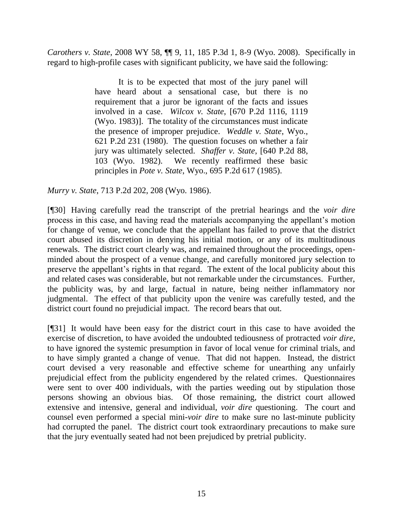*Carothers v. State*, 2008 WY 58, ¶¶ 9, 11, 185 P.3d 1, 8-9 (Wyo. 2008). Specifically in regard to high-profile cases with significant publicity, we have said the following:

> It is to be expected that most of the jury panel will have heard about a sensational case, but there is no requirement that a juror be ignorant of the facts and issues involved in a case. *Wilcox v. State*, [670 P.2d 1116, 1119 (Wyo. 1983)]. The totality of the circumstances must indicate the presence of improper prejudice. *Weddle v. State*, Wyo., 621 P.2d 231 (1980). The question focuses on whether a fair jury was ultimately selected. *Shaffer v. State*, [640 P.2d 88, 103 (Wyo. 1982). We recently reaffirmed these basic principles in *Pote v. State*, Wyo., 695 P.2d 617 (1985).

*Murry v. State*, 713 P.2d 202, 208 (Wyo. 1986).

[¶30] Having carefully read the transcript of the pretrial hearings and the *voir dire*  process in this case, and having read the materials accompanying the appellant's motion for change of venue, we conclude that the appellant has failed to prove that the district court abused its discretion in denying his initial motion, or any of its multitudinous renewals. The district court clearly was, and remained throughout the proceedings, openminded about the prospect of a venue change, and carefully monitored jury selection to preserve the appellant's rights in that regard. The extent of the local publicity about this and related cases was considerable, but not remarkable under the circumstances. Further, the publicity was, by and large, factual in nature, being neither inflammatory nor judgmental. The effect of that publicity upon the venire was carefully tested, and the district court found no prejudicial impact. The record bears that out.

[¶31] It would have been easy for the district court in this case to have avoided the exercise of discretion, to have avoided the undoubted tediousness of protracted *voir dire*, to have ignored the systemic presumption in favor of local venue for criminal trials, and to have simply granted a change of venue. That did not happen. Instead, the district court devised a very reasonable and effective scheme for unearthing any unfairly prejudicial effect from the publicity engendered by the related crimes. Questionnaires were sent to over 400 individuals, with the parties weeding out by stipulation those persons showing an obvious bias. Of those remaining, the district court allowed extensive and intensive, general and individual, *voir dire* questioning. The court and counsel even performed a special mini-*voir dire* to make sure no last-minute publicity had corrupted the panel. The district court took extraordinary precautions to make sure that the jury eventually seated had not been prejudiced by pretrial publicity.